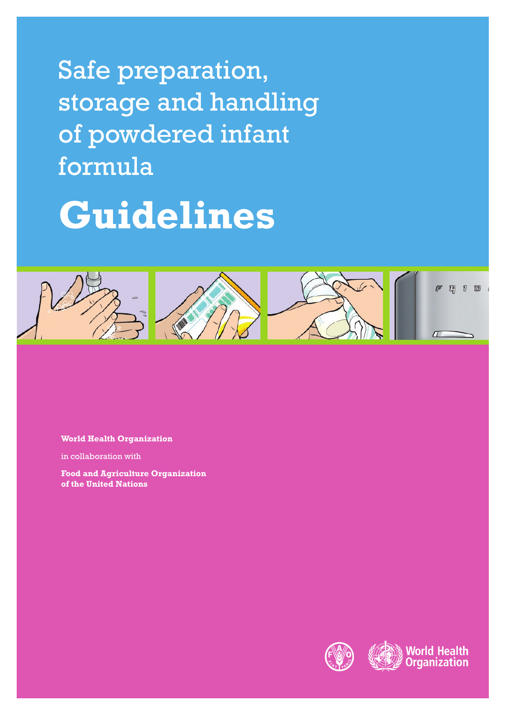Safe preparation, storage and handling of powdered infant formula

# **Guidelines**



**World Health Organization**

in collaboration with

**Food and Agriculture Organization of the United Nations**



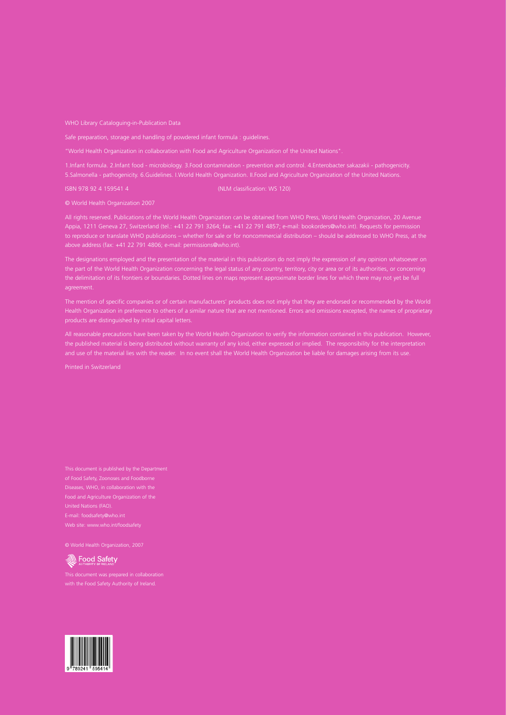© World Health Organization 2007



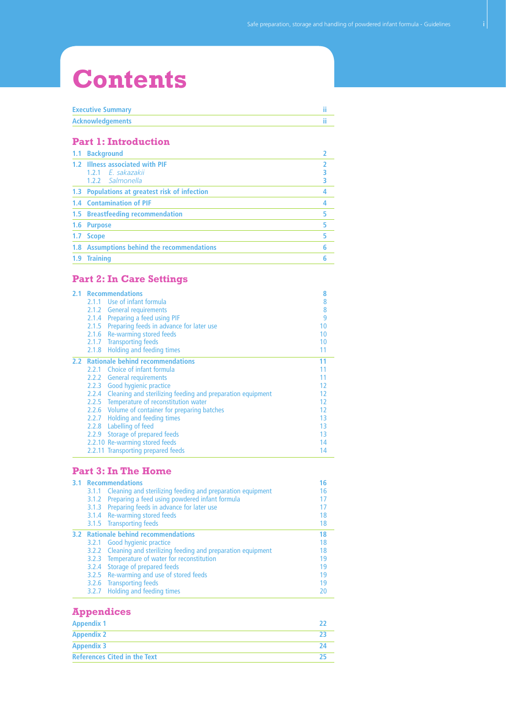# **Contents**

| <b>Executive Summary</b>    |  |
|-----------------------------|--|
| <b>Acknowledgements</b>     |  |
| <b>Part 1: Introduction</b> |  |

|     | 1.1 Background                                                            |   |
|-----|---------------------------------------------------------------------------|---|
|     | 1.2 Illness associated with PIF<br>1.2.1 E. sakazakii<br>1.2.2 Salmonella |   |
|     | 1.3 Populations at greatest risk of infection                             |   |
|     | 1.4 Contamination of PIF                                                  |   |
|     | 1.5 Breastfeeding recommendation                                          |   |
|     | 1.6 Purpose                                                               |   |
|     | 1.7 Scope                                                                 |   |
|     | 1.8 Assumptions behind the recommendations                                | 6 |
| 1.9 | <b>Training</b>                                                           |   |

#### **Part 2: In Care Settings**

|                                      | 2.1 Recommendations                                              | 8  |
|--------------------------------------|------------------------------------------------------------------|----|
|                                      | 2.1.1 Use of infant formula                                      | 8  |
|                                      | 2.1.2 General requirements                                       | 8  |
|                                      | 2.1.4 Preparing a feed using PIF                                 | 9  |
|                                      | 2.1.5 Preparing feeds in advance for later use                   | 10 |
|                                      | 2.1.6 Re-warming stored feeds                                    | 10 |
|                                      | 2.1.7 Transporting feeds                                         | 10 |
| 2.1.8                                | <b>Holding and feeding times</b>                                 | 11 |
| 2.2 Rationale behind recommendations |                                                                  | 11 |
|                                      | 2.2.1 Choice of infant formula                                   | 11 |
|                                      | 2.2.2 General requirements                                       | 11 |
|                                      | 2.2.3 Good hygienic practice                                     | 12 |
|                                      | 2.2.4 Cleaning and sterilizing feeding and preparation equipment | 12 |
|                                      | 2.2.5 Temperature of reconstitution water                        | 12 |
|                                      | 2.2.6 Volume of container for preparing batches                  | 12 |
|                                      | 2.2.7 Holding and feeding times                                  | 13 |
|                                      | 2.2.8 Labelling of feed                                          | 13 |
|                                      | 2.2.9 Storage of prepared feeds                                  | 13 |
|                                      | 2.2.10 Re-warming stored feeds                                   | 14 |
|                                      | 2.2.11 Transporting prepared feeds                               | 14 |

#### **Part 3: In The Home**

|  | 3.1 Recommendations                                              | 16 |
|--|------------------------------------------------------------------|----|
|  | 3.1.1 Cleaning and sterilizing feeding and preparation equipment | 16 |
|  | 3.1.2 Preparing a feed using powdered infant formula             |    |
|  | 3.1.3 Preparing feeds in advance for later use                   |    |
|  | 3.1.4 Re-warming stored feeds                                    | 18 |
|  | 3.1.5 Transporting feeds                                         | 18 |
|  | 3.2 Rationale behind recommendations                             | 18 |
|  | 3.2.1 Good hygienic practice                                     | 18 |
|  | 3.2.2 Cleaning and sterilizing feeding and preparation equipment | 18 |
|  | 3.2.3 Temperature of water for reconstitution                    | 19 |
|  | 3.2.4 Storage of prepared feeds                                  | 19 |
|  | 3.2.5 Re-warming and use of stored feeds                         | 19 |
|  | 3.2.6 Transporting feeds                                         | 19 |
|  | 3.2.7 Holding and feeding times                                  |    |
|  |                                                                  |    |

#### **Appendices**

| <b>Appendix 1</b>                   |  |
|-------------------------------------|--|
| <b>Appendix 2</b>                   |  |
| <b>Appendix 3</b>                   |  |
| <b>References Cited in the Text</b> |  |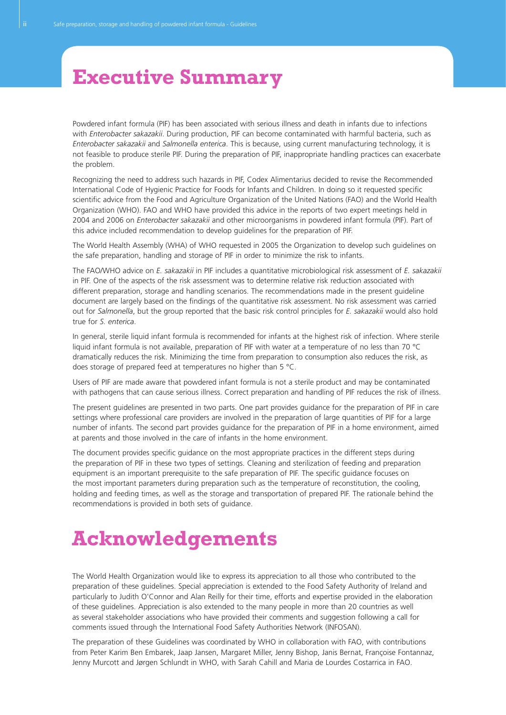### **Executive Summary**

Powdered infant formula (PIF) has been associated with serious illness and death in infants due to infections with *Enterobacter sakazakii*. During production, PIF can become contaminated with harmful bacteria, such as *Enterobacter sakazakii* and *Salmonella enterica*. This is because, using current manufacturing technology, it is not feasible to produce sterile PIF. During the preparation of PIF, inappropriate handling practices can exacerbate the problem.

Recognizing the need to address such hazards in PIF, Codex Alimentarius decided to revise the Recommended International Code of Hygienic Practice for Foods for Infants and Children. In doing so it requested specific scientific advice from the Food and Agriculture Organization of the United Nations (FAO) and the World Health Organization (WHO). FAO and WHO have provided this advice in the reports of two expert meetings held in 2004 and 2006 on *Enterobacter sakazakii* and other microorganisms in powdered infant formula (PIF). Part of this advice included recommendation to develop guidelines for the preparation of PIF.

The World Health Assembly (WHA) of WHO requested in 2005 the Organization to develop such guidelines on the safe preparation, handling and storage of PIF in order to minimize the risk to infants.

The FAO/WHO advice on *E. sakazakii* in PIF includes a quantitative microbiological risk assessment of *E. sakazakii* in PIF. One of the aspects of the risk assessment was to determine relative risk reduction associated with different preparation, storage and handling scenarios. The recommendations made in the present guideline document are largely based on the findings of the quantitative risk assessment. No risk assessment was carried out for *Salmonella*, but the group reported that the basic risk control principles for *E. sakazakii* would also hold true for *S. enterica*.

In general, sterile liquid infant formula is recommended for infants at the highest risk of infection. Where sterile liquid infant formula is not available, preparation of PIF with water at a temperature of no less than 70 °C dramatically reduces the risk. Minimizing the time from preparation to consumption also reduces the risk, as does storage of prepared feed at temperatures no higher than 5 °C.

Users of PIF are made aware that powdered infant formula is not a sterile product and may be contaminated with pathogens that can cause serious illness. Correct preparation and handling of PIF reduces the risk of illness.

The present guidelines are presented in two parts. One part provides guidance for the preparation of PIF in care settings where professional care providers are involved in the preparation of large quantities of PIF for a large number of infants. The second part provides guidance for the preparation of PIF in a home environment, aimed at parents and those involved in the care of infants in the home environment.

The document provides specific guidance on the most appropriate practices in the different steps during the preparation of PIF in these two types of settings. Cleaning and sterilization of feeding and preparation equipment is an important prerequisite to the safe preparation of PIF. The specific guidance focuses on the most important parameters during preparation such as the temperature of reconstitution, the cooling, holding and feeding times, as well as the storage and transportation of prepared PIF. The rationale behind the recommendations is provided in both sets of guidance.

# **Acknowledgements**

The World Health Organization would like to express its appreciation to all those who contributed to the preparation of these guidelines. Special appreciation is extended to the Food Safety Authority of Ireland and particularly to Judith O'Connor and Alan Reilly for their time, efforts and expertise provided in the elaboration of these guidelines. Appreciation is also extended to the many people in more than 20 countries as well as several stakeholder associations who have provided their comments and suggestion following a call for comments issued through the International Food Safety Authorities Network (INFOSAN).

The preparation of these Guidelines was coordinated by WHO in collaboration with FAO, with contributions from Peter Karim Ben Embarek, Jaap Jansen, Margaret Miller, Jenny Bishop, Janis Bernat, Françoise Fontannaz, Jenny Murcott and Jørgen Schlundt in WHO, with Sarah Cahill and Maria de Lourdes Costarrica in FAO.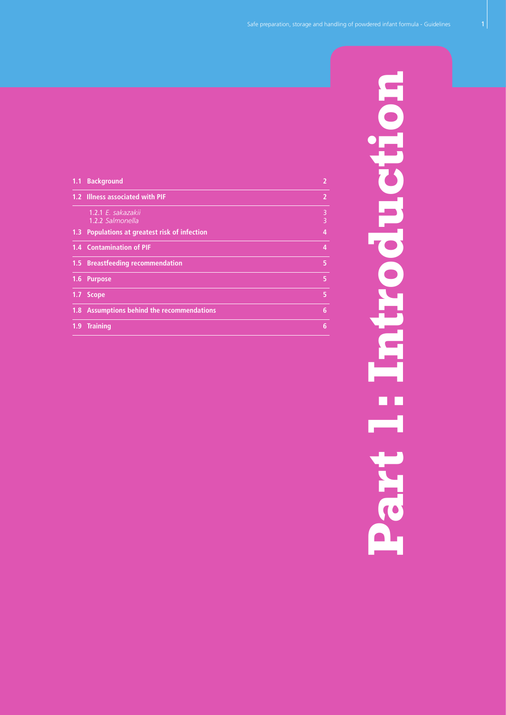| 1.1              | <b>Background</b>                             | $\overline{2}$ |
|------------------|-----------------------------------------------|----------------|
|                  | 1.2 Illness associated with PIF               | $\overline{2}$ |
|                  | 1.2.1 E. sakazakii<br>1.2.2 Salmonella        | 3<br>3         |
| 1.3 <sub>2</sub> | Populations at greatest risk of infection     | 4              |
|                  | 1.4 Contamination of PIF                      | 4              |
| 1.5 <sub>1</sub> | <b>Breastfeeding recommendation</b>           | 5              |
| 1.6              | <b>Purpose</b>                                | 5              |
| 1.7 <sub>1</sub> | <b>Scope</b>                                  | 5              |
| 1.8              | <b>Assumptions behind the recommendations</b> | 6              |
| 1.9              | <b>Training</b>                               | 6              |

# **Part 1: Introduction Hatroduction** Part 1: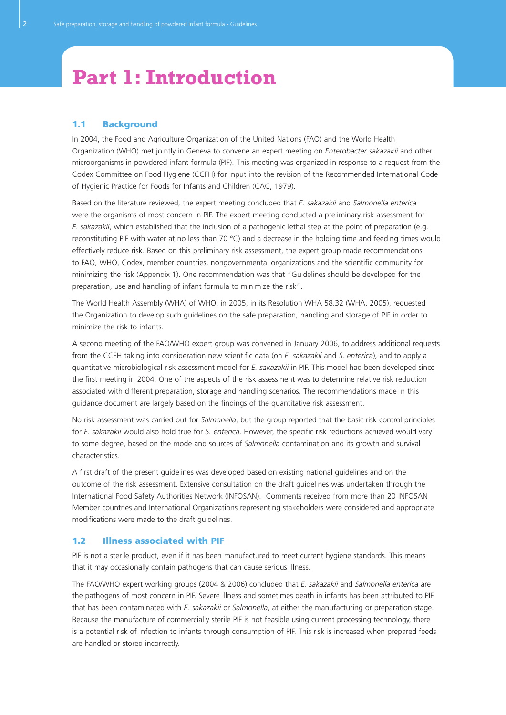# **Part 1: Introduction**

#### 1.1 Background

In 2004, the Food and Agriculture Organization of the United Nations (FAO) and the World Health Organization (WHO) met jointly in Geneva to convene an expert meeting on *Enterobacter sakazakii* and other microorganisms in powdered infant formula (PIF). This meeting was organized in response to a request from the Codex Committee on Food Hygiene (CCFH) for input into the revision of the Recommended International Code of Hygienic Practice for Foods for Infants and Children (CAC, 1979).

Based on the literature reviewed, the expert meeting concluded that *E. sakazakii* and *Salmonella enterica* were the organisms of most concern in PIF. The expert meeting conducted a preliminary risk assessment for *E. sakazakii*, which established that the inclusion of a pathogenic lethal step at the point of preparation (e.g. reconstituting PIF with water at no less than 70 °C) and a decrease in the holding time and feeding times would effectively reduce risk. Based on this preliminary risk assessment, the expert group made recommendations to FAO, WHO, Codex, member countries, nongovernmental organizations and the scientific community for minimizing the risk (Appendix 1). One recommendation was that "Guidelines should be developed for the preparation, use and handling of infant formula to minimize the risk".

The World Health Assembly (WHA) of WHO, in 2005, in its Resolution WHA 58.32 (WHA, 2005), requested the Organization to develop such guidelines on the safe preparation, handling and storage of PIF in order to minimize the risk to infants.

A second meeting of the FAO/WHO expert group was convened in January 2006, to address additional requests from the CCFH taking into consideration new scientific data (on *E. sakazakii* and *S. enterica*), and to apply a quantitative microbiological risk assessment model for *E. sakazakii* in PIF. This model had been developed since the first meeting in 2004. One of the aspects of the risk assessment was to determine relative risk reduction associated with different preparation, storage and handling scenarios. The recommendations made in this guidance document are largely based on the findings of the quantitative risk assessment.

No risk assessment was carried out for *Salmonella*, but the group reported that the basic risk control principles for *E. sakazakii* would also hold true for *S. enterica*. However, the specific risk reductions achieved would vary to some degree, based on the mode and sources of *Salmonella* contamination and its growth and survival characteristics.

A first draft of the present guidelines was developed based on existing national guidelines and on the outcome of the risk assessment. Extensive consultation on the draft guidelines was undertaken through the International Food Safety Authorities Network (INFOSAN). Comments received from more than 20 INFOSAN Member countries and International Organizations representing stakeholders were considered and appropriate modifications were made to the draft guidelines.

#### 1.2 **Illness associated with PIF**

PIF is not a sterile product, even if it has been manufactured to meet current hygiene standards. This means that it may occasionally contain pathogens that can cause serious illness.

The FAO/WHO expert working groups (2004 & 2006) concluded that *E. sakazakii* and *Salmonella enterica* are the pathogens of most concern in PIF. Severe illness and sometimes death in infants has been attributed to PIF that has been contaminated with *E. sakazakii* or *Salmonella*, at either the manufacturing or preparation stage. Because the manufacture of commercially sterile PIF is not feasible using current processing technology, there is a potential risk of infection to infants through consumption of PIF. This risk is increased when prepared feeds are handled or stored incorrectly.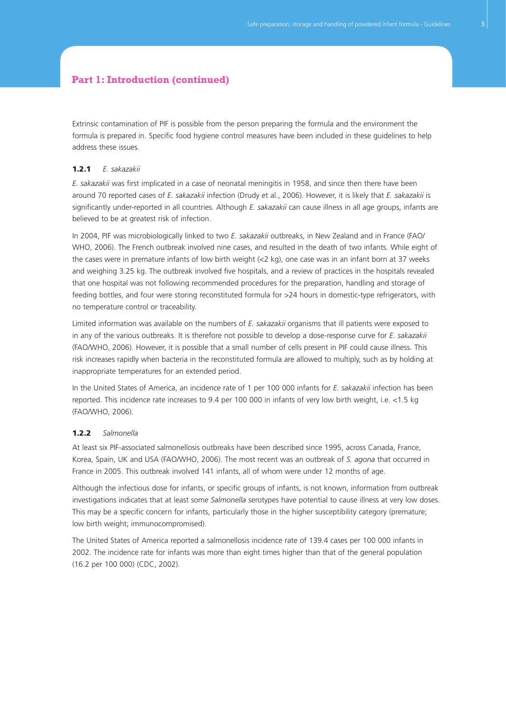Extrinsic contamination of PIF is possible from the person preparing the formula and the environment the formula is prepared in. Specific food hygiene control measures have been included in these guidelines to help address these issues.

#### 1.2.1 *E. sakazakii*

*E. sakazakii* was first implicated in a case of neonatal meningitis in 1958, and since then there have been around 70 reported cases of *E. sakazakii* infection (Drudy et al., 2006). However, it is likely that *E. sakazakii* is significantly under-reported in all countries. Although *E. sakazakii* can cause illness in all age groups, infants are believed to be at greatest risk of infection.

In 2004, PIF was microbiologically linked to two *E. sakazakii* outbreaks, in New Zealand and in France (FAO/ WHO, 2006). The French outbreak involved nine cases, and resulted in the death of two infants. While eight of the cases were in premature infants of low birth weight (<2 kg), one case was in an infant born at 37 weeks and weighing 3.25 kg. The outbreak involved five hospitals, and a review of practices in the hospitals revealed that one hospital was not following recommended procedures for the preparation, handling and storage of feeding bottles, and four were storing reconstituted formula for >24 hours in domestic-type refrigerators, with no temperature control or traceability.

Limited information was available on the numbers of *E. sakazakii* organisms that ill patients were exposed to in any of the various outbreaks. It is therefore not possible to develop a dose-response curve for *E. sakazakii* (FAO/WHO, 2006). However, it is possible that a small number of cells present in PIF could cause illness. This risk increases rapidly when bacteria in the reconstituted formula are allowed to multiply, such as by holding at inappropriate temperatures for an extended period.

In the United States of America, an incidence rate of 1 per 100 000 infants for *E. sakazakii* infection has been reported. This incidence rate increases to 9.4 per 100 000 in infants of very low birth weight, i.e. <1.5 kg (FAO/WHO, 2006).

#### 1.2.2 *Salmonella*

At least six PIF-associated salmonellosis outbreaks have been described since 1995, across Canada, France, Korea, Spain, UK and USA (FAO/WHO, 2006). The most recent was an outbreak of *S. agona* that occurred in France in 2005. This outbreak involved 141 infants, all of whom were under 12 months of age.

Although the infectious dose for infants, or specific groups of infants, is not known, information from outbreak investigations indicates that at least some *Salmonella* serotypes have potential to cause illness at very low doses. This may be a specific concern for infants, particularly those in the higher susceptibility category (premature; low birth weight; immunocompromised).

The United States of America reported a salmonellosis incidence rate of 139.4 cases per 100 000 infants in 2002. The incidence rate for infants was more than eight times higher than that of the general population (16.2 per 100 000) (CDC, 2002).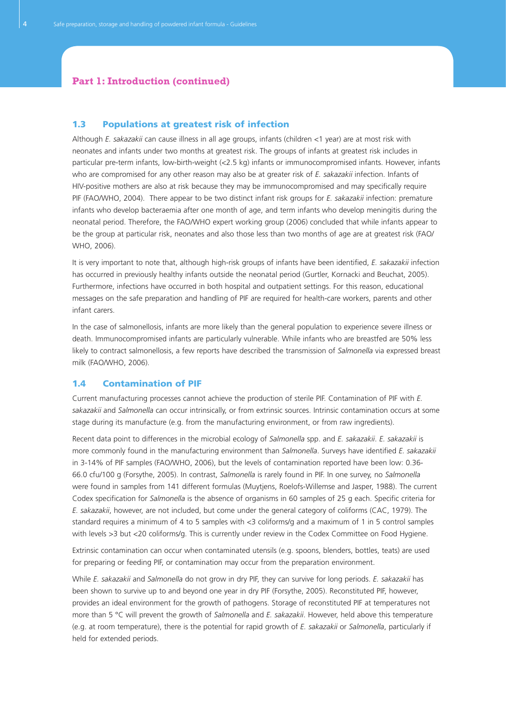#### 1.3 Populations at greatest risk of infection

Although *E. sakazakii* can cause illness in all age groups, infants (children <1 year) are at most risk with neonates and infants under two months at greatest risk. The groups of infants at greatest risk includes in particular pre-term infants, low-birth-weight (<2.5 kg) infants or immunocompromised infants. However, infants who are compromised for any other reason may also be at greater risk of *E. sakazakii* infection. Infants of HIV-positive mothers are also at risk because they may be immunocompromised and may specifically require PIF (FAO/WHO, 2004). There appear to be two distinct infant risk groups for *E. sakazakii* infection: premature infants who develop bacteraemia after one month of age, and term infants who develop meningitis during the neonatal period. Therefore, the FAO/WHO expert working group (2006) concluded that while infants appear to be the group at particular risk, neonates and also those less than two months of age are at greatest risk (FAO/ WHO, 2006).

It is very important to note that, although high-risk groups of infants have been identified, *E. sakazakii* infection has occurred in previously healthy infants outside the neonatal period (Gurtler, Kornacki and Beuchat, 2005). Furthermore, infections have occurred in both hospital and outpatient settings. For this reason, educational messages on the safe preparation and handling of PIF are required for health-care workers, parents and other infant carers.

In the case of salmonellosis, infants are more likely than the general population to experience severe illness or death. Immunocompromised infants are particularly vulnerable. While infants who are breastfed are 50% less likely to contract salmonellosis, a few reports have described the transmission of *Salmonella* via expressed breast milk (FAO/WHO, 2006).

#### 1.4 Contamination of PIF

Current manufacturing processes cannot achieve the production of sterile PIF. Contamination of PIF with *E. sakazakii* and *Salmonella* can occur intrinsically, or from extrinsic sources. Intrinsic contamination occurs at some stage during its manufacture (e.g. from the manufacturing environment, or from raw ingredients).

Recent data point to differences in the microbial ecology of *Salmonella* spp. and *E. sakazakii*. *E. sakazakii* is more commonly found in the manufacturing environment than *Salmonella*. Surveys have identified *E. sakazakii* in 3-14% of PIF samples (FAO/WHO, 2006), but the levels of contamination reported have been low: 0.36- 66.0 cfu/100 g (Forsythe, 2005). In contrast, *Salmonella* is rarely found in PIF. In one survey, no *Salmonella* were found in samples from 141 different formulas (Muytjens, Roelofs-Willemse and Jasper, 1988). The current Codex specification for *Salmonella* is the absence of organisms in 60 samples of 25 g each. Specific criteria for *E. sakazakii*, however, are not included, but come under the general category of coliforms (CAC, 1979). The standard requires a minimum of 4 to 5 samples with <3 coliforms/g and a maximum of 1 in 5 control samples with levels >3 but <20 coliforms/g. This is currently under review in the Codex Committee on Food Hygiene.

Extrinsic contamination can occur when contaminated utensils (e.g. spoons, blenders, bottles, teats) are used for preparing or feeding PIF, or contamination may occur from the preparation environment.

While *E. sakazakii* and *Salmonella* do not grow in dry PIF, they can survive for long periods. *E. sakazakii* has been shown to survive up to and beyond one year in dry PIF (Forsythe, 2005). Reconstituted PIF, however, provides an ideal environment for the growth of pathogens. Storage of reconstituted PIF at temperatures not more than 5 °C will prevent the growth of *Salmonella* and *E. sakazakii*. However, held above this temperature (e.g. at room temperature), there is the potential for rapid growth of *E. sakazakii* or *Salmonella*, particularly if held for extended periods.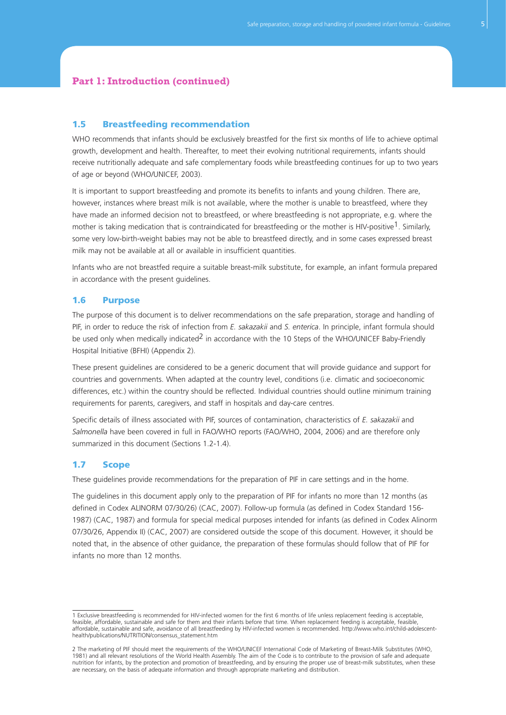#### 1.5 Breastfeeding recommendation

WHO recommends that infants should be exclusively breastfed for the first six months of life to achieve optimal growth, development and health. Thereafter, to meet their evolving nutritional requirements, infants should receive nutritionally adequate and safe complementary foods while breastfeeding continues for up to two years of age or beyond (WHO/UNICEF, 2003).

It is important to support breastfeeding and promote its benefits to infants and young children. There are, however, instances where breast milk is not available, where the mother is unable to breastfeed, where they have made an informed decision not to breastfeed, or where breastfeeding is not appropriate, e.g. where the mother is taking medication that is contraindicated for breastfeeding or the mother is HIV-positive<sup>1</sup>. Similarly, some very low-birth-weight babies may not be able to breastfeed directly, and in some cases expressed breast milk may not be available at all or available in insufficient quantities.

Infants who are not breastfed require a suitable breast-milk substitute, for example, an infant formula prepared in accordance with the present guidelines.

#### 1.6 Purpose

The purpose of this document is to deliver recommendations on the safe preparation, storage and handling of PIF, in order to reduce the risk of infection from *E. sakazakii* and *S. enterica*. In principle, infant formula should be used only when medically indicated<sup>2</sup> in accordance with the 10 Steps of the WHO/UNICEF Baby-Friendly Hospital Initiative (BFHI) (Appendix 2).

These present guidelines are considered to be a generic document that will provide guidance and support for countries and governments. When adapted at the country level, conditions (i.e. climatic and socioeconomic differences, etc.) within the country should be reflected. Individual countries should outline minimum training requirements for parents, caregivers, and staff in hospitals and day-care centres.

Specific details of illness associated with PIF, sources of contamination, characteristics of *E. sakazakii* and *Salmonella* have been covered in full in FAO/WHO reports (FAO/WHO, 2004, 2006) and are therefore only summarized in this document (Sections 1.2-1.4).

#### 1.7 Scope

These guidelines provide recommendations for the preparation of PIF in care settings and in the home.

The guidelines in this document apply only to the preparation of PIF for infants no more than 12 months (as defined in Codex ALINORM 07/30/26) (CAC, 2007). Follow-up formula (as defined in Codex Standard 156- 1987) (CAC, 1987) and formula for special medical purposes intended for infants (as defined in Codex Alinorm 07/30/26, Appendix II) (CAC, 2007) are considered outside the scope of this document. However, it should be noted that, in the absence of other guidance, the preparation of these formulas should follow that of PIF for infants no more than 12 months.

<sup>1</sup> Exclusive breastfeeding is recommended for HIV-infected women for the first 6 months of life unless replacement feeding is acceptable, feasible, affordable, sustainable and safe for them and their infants before that time. When replacement feeding is acceptable, feasible, affordable, sustainable and safe, avoidance of all breastfeeding by HIV-infected women is recommended. http://www.who.int/child-adolescenthealth/publications/NUTRITION/consensus\_statement.htm

<sup>2</sup> The marketing of PIF should meet the requirements of the WHO/UNICEF International Code of Marketing of Breast-Milk Substitutes (WHO, 1981) and all relevant resolutions of the World Health Assembly. The aim of the Code is to contribute to the provision of safe and adequate nutrition for infants, by the protection and promotion of breastfeeding, and by ensuring the proper use of breast-milk substitutes, when these are necessary, on the basis of adequate information and through appropriate marketing and distribution.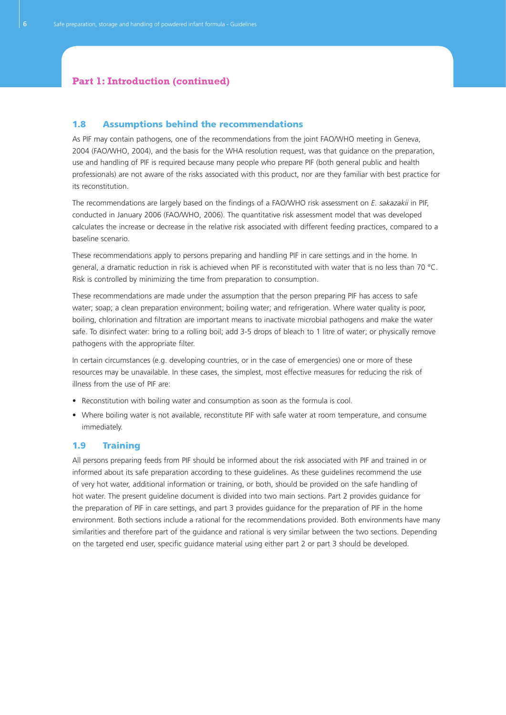#### 1.8 Assumptions behind the recommendations

As PIF may contain pathogens, one of the recommendations from the joint FAO/WHO meeting in Geneva, 2004 (FAO/WHO, 2004), and the basis for the WHA resolution request, was that guidance on the preparation, use and handling of PIF is required because many people who prepare PIF (both general public and health professionals) are not aware of the risks associated with this product, nor are they familiar with best practice for its reconstitution.

The recommendations are largely based on the findings of a FAO/WHO risk assessment on *E. sakazakii* in PIF, conducted in January 2006 (FAO/WHO, 2006). The quantitative risk assessment model that was developed calculates the increase or decrease in the relative risk associated with different feeding practices, compared to a baseline scenario.

These recommendations apply to persons preparing and handling PIF in care settings and in the home. In general, a dramatic reduction in risk is achieved when PIF is reconstituted with water that is no less than 70 °C. Risk is controlled by minimizing the time from preparation to consumption.

These recommendations are made under the assumption that the person preparing PIF has access to safe water; soap; a clean preparation environment; boiling water; and refrigeration. Where water quality is poor, boiling, chlorination and filtration are important means to inactivate microbial pathogens and make the water safe. To disinfect water: bring to a rolling boil; add 3-5 drops of bleach to 1 litre of water; or physically remove pathogens with the appropriate filter.

In certain circumstances (e.g. developing countries, or in the case of emergencies) one or more of these resources may be unavailable. In these cases, the simplest, most effective measures for reducing the risk of illness from the use of PIF are:

- Reconstitution with boiling water and consumption as soon as the formula is cool.
- Where boiling water is not available, reconstitute PIF with safe water at room temperature, and consume immediately.

#### 1.9 Training

All persons preparing feeds from PIF should be informed about the risk associated with PIF and trained in or informed about its safe preparation according to these guidelines. As these guidelines recommend the use of very hot water, additional information or training, or both, should be provided on the safe handling of hot water. The present guideline document is divided into two main sections. Part 2 provides guidance for the preparation of PIF in care settings, and part 3 provides guidance for the preparation of PIF in the home environment. Both sections include a rational for the recommendations provided. Both environments have many similarities and therefore part of the guidance and rational is very similar between the two sections. Depending on the targeted end user, specific guidance material using either part 2 or part 3 should be developed.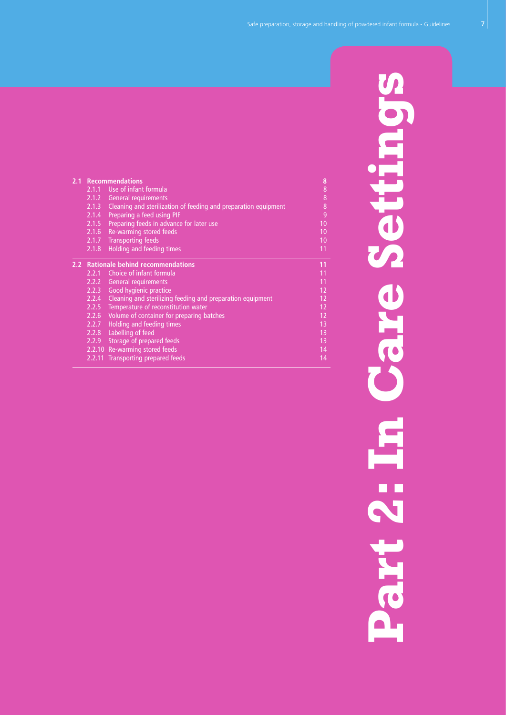# Care Settings **Part 2: In Care Settings Part 2: In**

|       | 2.1 Recommendations                                             | 8  |
|-------|-----------------------------------------------------------------|----|
|       | 2.1.1 Use of infant formula                                     | 8  |
|       | 2.1.2 General requirements                                      | 8  |
| 2.1.3 | Cleaning and sterilization of feeding and preparation equipment | 8  |
| 2.1.4 | Preparing a feed using PIF                                      | 9  |
| 2.1.5 | Preparing feeds in advance for later use                        | 10 |
| 2.1.6 | Re-warming stored feeds                                         | 10 |
|       | 2.1.7 Transporting feeds                                        | 10 |
| 2.1.8 | Holding and feeding times                                       | 11 |
|       | 2.2 Rationale behind recommendations                            | 11 |
|       | 2.2.1 Choice of infant formula                                  | 11 |
|       | 2.2.2 General requirements                                      | 11 |
| 2.2.3 | Good hygienic practice                                          | 12 |
| 2.2.4 | Cleaning and sterilizing feeding and preparation equipment      | 12 |
|       | 2.2.5 Temperature of reconstitution water                       | 12 |
| 2.2.6 | Volume of container for preparing batches                       | 12 |
| 2.2.7 | Holding and feeding times                                       | 13 |
| 2.2.8 | Labelling of feed                                               | 13 |
|       | 2.2.9 Storage of prepared feeds                                 | 13 |
|       | 2.2.10 Re-warming stored feeds                                  | 14 |
|       | 2.2.11 Transporting prepared feeds                              | 14 |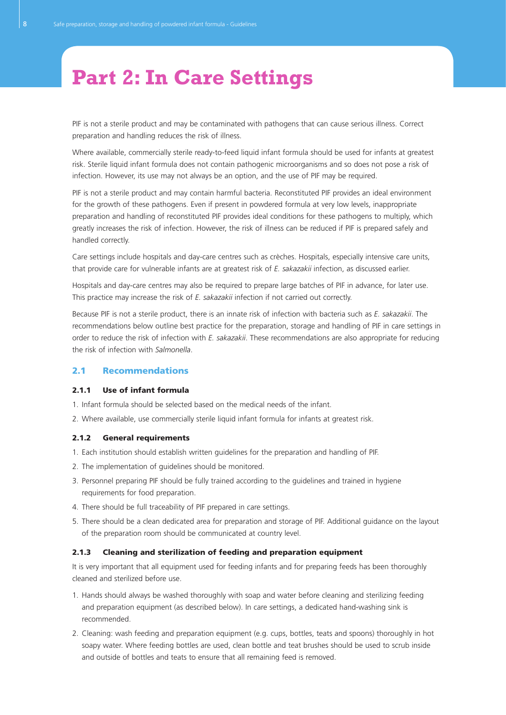### **Part 2: In Care Settings**

PIF is not a sterile product and may be contaminated with pathogens that can cause serious illness. Correct preparation and handling reduces the risk of illness.

Where available, commercially sterile ready-to-feed liquid infant formula should be used for infants at greatest risk. Sterile liquid infant formula does not contain pathogenic microorganisms and so does not pose a risk of infection. However, its use may not always be an option, and the use of PIF may be required.

PIF is not a sterile product and may contain harmful bacteria. Reconstituted PIF provides an ideal environment for the growth of these pathogens. Even if present in powdered formula at very low levels, inappropriate preparation and handling of reconstituted PIF provides ideal conditions for these pathogens to multiply, which greatly increases the risk of infection. However, the risk of illness can be reduced if PIF is prepared safely and handled correctly.

Care settings include hospitals and day-care centres such as crèches. Hospitals, especially intensive care units, that provide care for vulnerable infants are at greatest risk of *E. sakazakii* infection, as discussed earlier.

Hospitals and day-care centres may also be required to prepare large batches of PIF in advance, for later use. This practice may increase the risk of *E. sakazakii* infection if not carried out correctly.

Because PIF is not a sterile product, there is an innate risk of infection with bacteria such as *E. sakazakii*. The recommendations below outline best practice for the preparation, storage and handling of PIF in care settings in order to reduce the risk of infection with *E. sakazakii*. These recommendations are also appropriate for reducing the risk of infection with *Salmonella*.

#### 2.1 Recommendations

#### 2.1.1 Use of infant formula

- 1. Infant formula should be selected based on the medical needs of the infant.
- 2. Where available, use commercially sterile liquid infant formula for infants at greatest risk.

#### 2.1.2 General requirements

- 1. Each institution should establish written guidelines for the preparation and handling of PIF.
- 2. The implementation of guidelines should be monitored.
- 3. Personnel preparing PIF should be fully trained according to the guidelines and trained in hygiene requirements for food preparation.
- 4. There should be full traceability of PIF prepared in care settings.
- 5. There should be a clean dedicated area for preparation and storage of PIF. Additional guidance on the layout of the preparation room should be communicated at country level.

#### 2.1.3 Cleaning and sterilization of feeding and preparation equipment

It is very important that all equipment used for feeding infants and for preparing feeds has been thoroughly cleaned and sterilized before use.

- 1. Hands should always be washed thoroughly with soap and water before cleaning and sterilizing feeding and preparation equipment (as described below). In care settings, a dedicated hand-washing sink is recommended.
- 2. Cleaning: wash feeding and preparation equipment (e.g. cups, bottles, teats and spoons) thoroughly in hot soapy water. Where feeding bottles are used, clean bottle and teat brushes should be used to scrub inside and outside of bottles and teats to ensure that all remaining feed is removed.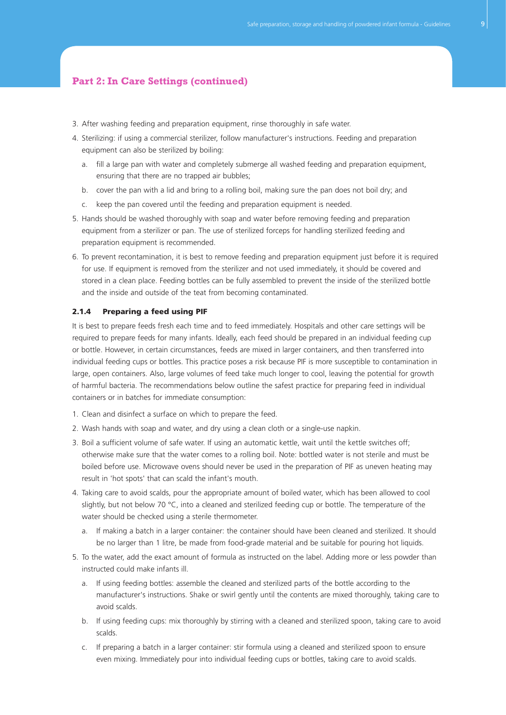- 3. After washing feeding and preparation equipment, rinse thoroughly in safe water.
- 4. Sterilizing: if using a commercial sterilizer, follow manufacturer's instructions. Feeding and preparation equipment can also be sterilized by boiling:
	- a. fill a large pan with water and completely submerge all washed feeding and preparation equipment, ensuring that there are no trapped air bubbles;
	- b. cover the pan with a lid and bring to a rolling boil, making sure the pan does not boil dry; and
	- c. keep the pan covered until the feeding and preparation equipment is needed.
- 5. Hands should be washed thoroughly with soap and water before removing feeding and preparation equipment from a sterilizer or pan. The use of sterilized forceps for handling sterilized feeding and preparation equipment is recommended.
- 6. To prevent recontamination, it is best to remove feeding and preparation equipment just before it is required for use. If equipment is removed from the sterilizer and not used immediately, it should be covered and stored in a clean place. Feeding bottles can be fully assembled to prevent the inside of the sterilized bottle and the inside and outside of the teat from becoming contaminated.

#### 2.1.4 Preparing a feed using PIF

It is best to prepare feeds fresh each time and to feed immediately. Hospitals and other care settings will be required to prepare feeds for many infants. Ideally, each feed should be prepared in an individual feeding cup or bottle. However, in certain circumstances, feeds are mixed in larger containers, and then transferred into individual feeding cups or bottles. This practice poses a risk because PIF is more susceptible to contamination in large, open containers. Also, large volumes of feed take much longer to cool, leaving the potential for growth of harmful bacteria. The recommendations below outline the safest practice for preparing feed in individual containers or in batches for immediate consumption:

- 1. Clean and disinfect a surface on which to prepare the feed.
- 2. Wash hands with soap and water, and dry using a clean cloth or a single-use napkin.
- 3. Boil a sufficient volume of safe water. If using an automatic kettle, wait until the kettle switches off; otherwise make sure that the water comes to a rolling boil. Note: bottled water is not sterile and must be boiled before use. Microwave ovens should never be used in the preparation of PIF as uneven heating may result in 'hot spots' that can scald the infant's mouth.
- 4. Taking care to avoid scalds, pour the appropriate amount of boiled water, which has been allowed to cool slightly, but not below 70 °C, into a cleaned and sterilized feeding cup or bottle. The temperature of the water should be checked using a sterile thermometer.
	- a. If making a batch in a larger container: the container should have been cleaned and sterilized. It should be no larger than 1 litre, be made from food-grade material and be suitable for pouring hot liquids.
- 5. To the water, add the exact amount of formula as instructed on the label. Adding more or less powder than instructed could make infants ill.
	- a. If using feeding bottles: assemble the cleaned and sterilized parts of the bottle according to the manufacturer's instructions. Shake or swirl gently until the contents are mixed thoroughly, taking care to avoid scalds.
	- b. If using feeding cups: mix thoroughly by stirring with a cleaned and sterilized spoon, taking care to avoid scalds.
	- c. If preparing a batch in a larger container: stir formula using a cleaned and sterilized spoon to ensure even mixing. Immediately pour into individual feeding cups or bottles, taking care to avoid scalds.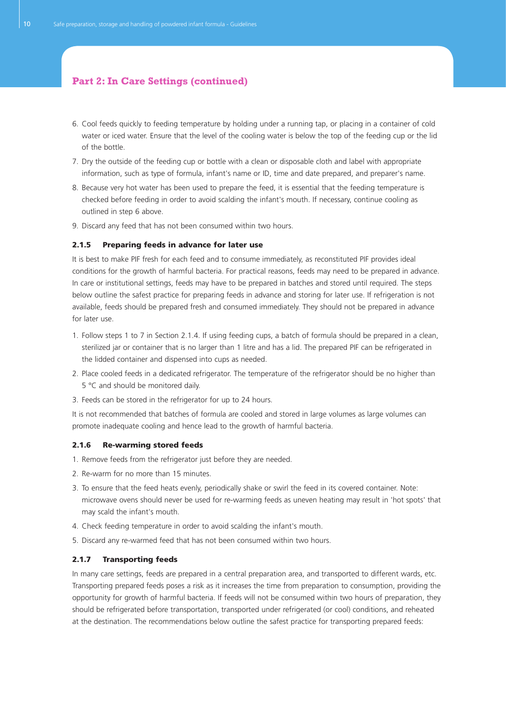- 6. Cool feeds quickly to feeding temperature by holding under a running tap, or placing in a container of cold water or iced water. Ensure that the level of the cooling water is below the top of the feeding cup or the lid of the bottle.
- 7. Dry the outside of the feeding cup or bottle with a clean or disposable cloth and label with appropriate information, such as type of formula, infant's name or ID, time and date prepared, and preparer's name.
- 8. Because very hot water has been used to prepare the feed, it is essential that the feeding temperature is checked before feeding in order to avoid scalding the infant's mouth. If necessary, continue cooling as outlined in step 6 above.
- 9. Discard any feed that has not been consumed within two hours.

#### 2.1.5 Preparing feeds in advance for later use

It is best to make PIF fresh for each feed and to consume immediately, as reconstituted PIF provides ideal conditions for the growth of harmful bacteria. For practical reasons, feeds may need to be prepared in advance. In care or institutional settings, feeds may have to be prepared in batches and stored until required. The steps below outline the safest practice for preparing feeds in advance and storing for later use. If refrigeration is not available, feeds should be prepared fresh and consumed immediately. They should not be prepared in advance for later use.

- 1. Follow steps 1 to 7 in Section 2.1.4. If using feeding cups, a batch of formula should be prepared in a clean, sterilized jar or container that is no larger than 1 litre and has a lid. The prepared PIF can be refrigerated in the lidded container and dispensed into cups as needed.
- 2. Place cooled feeds in a dedicated refrigerator. The temperature of the refrigerator should be no higher than 5 °C and should be monitored daily.
- 3. Feeds can be stored in the refrigerator for up to 24 hours.

It is not recommended that batches of formula are cooled and stored in large volumes as large volumes can promote inadequate cooling and hence lead to the growth of harmful bacteria.

#### 2.1.6 Re-warming stored feeds

- 1. Remove feeds from the refrigerator just before they are needed.
- 2. Re-warm for no more than 15 minutes.
- 3. To ensure that the feed heats evenly, periodically shake or swirl the feed in its covered container. Note: microwave ovens should never be used for re-warming feeds as uneven heating may result in 'hot spots' that may scald the infant's mouth.
- 4. Check feeding temperature in order to avoid scalding the infant's mouth.
- 5. Discard any re-warmed feed that has not been consumed within two hours.

#### 2.1.7 Transporting feeds

In many care settings, feeds are prepared in a central preparation area, and transported to different wards, etc. Transporting prepared feeds poses a risk as it increases the time from preparation to consumption, providing the opportunity for growth of harmful bacteria. If feeds will not be consumed within two hours of preparation, they should be refrigerated before transportation, transported under refrigerated (or cool) conditions, and reheated at the destination. The recommendations below outline the safest practice for transporting prepared feeds: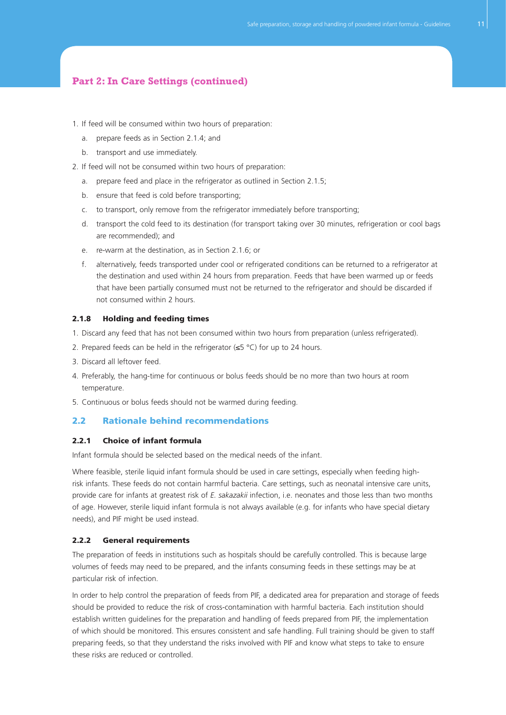- 1. If feed will be consumed within two hours of preparation:
	- a. prepare feeds as in Section 2.1.4; and
	- b. transport and use immediately.
- 2. If feed will not be consumed within two hours of preparation:
	- a. prepare feed and place in the refrigerator as outlined in Section 2.1.5;
	- b. ensure that feed is cold before transporting;
	- c. to transport, only remove from the refrigerator immediately before transporting;
	- d. transport the cold feed to its destination (for transport taking over 30 minutes, refrigeration or cool bags are recommended); and
	- e. re-warm at the destination, as in Section 2.1.6; or
	- f. alternatively, feeds transported under cool or refrigerated conditions can be returned to a refrigerator at the destination and used within 24 hours from preparation. Feeds that have been warmed up or feeds that have been partially consumed must not be returned to the refrigerator and should be discarded if not consumed within 2 hours.

#### 2.1.8 Holding and feeding times

- 1. Discard any feed that has not been consumed within two hours from preparation (unless refrigerated).
- 2. Prepared feeds can be held in the refrigerator ( $\leq$ 5 °C) for up to 24 hours.
- 3. Discard all leftover feed.
- 4. Preferably, the hang-time for continuous or bolus feeds should be no more than two hours at room temperature.
- 5. Continuous or bolus feeds should not be warmed during feeding.

#### 2.2 Rationale behind recommendations

#### 2.2.1 Choice of infant formula

Infant formula should be selected based on the medical needs of the infant.

Where feasible, sterile liquid infant formula should be used in care settings, especially when feeding highrisk infants. These feeds do not contain harmful bacteria. Care settings, such as neonatal intensive care units, provide care for infants at greatest risk of *E. sakazakii* infection, i.e. neonates and those less than two months of age. However, sterile liquid infant formula is not always available (e.g. for infants who have special dietary needs), and PIF might be used instead.

#### 2.2.2 General requirements

The preparation of feeds in institutions such as hospitals should be carefully controlled. This is because large volumes of feeds may need to be prepared, and the infants consuming feeds in these settings may be at particular risk of infection.

In order to help control the preparation of feeds from PIF, a dedicated area for preparation and storage of feeds should be provided to reduce the risk of cross-contamination with harmful bacteria. Each institution should establish written guidelines for the preparation and handling of feeds prepared from PIF, the implementation of which should be monitored. This ensures consistent and safe handling. Full training should be given to staff preparing feeds, so that they understand the risks involved with PIF and know what steps to take to ensure these risks are reduced or controlled.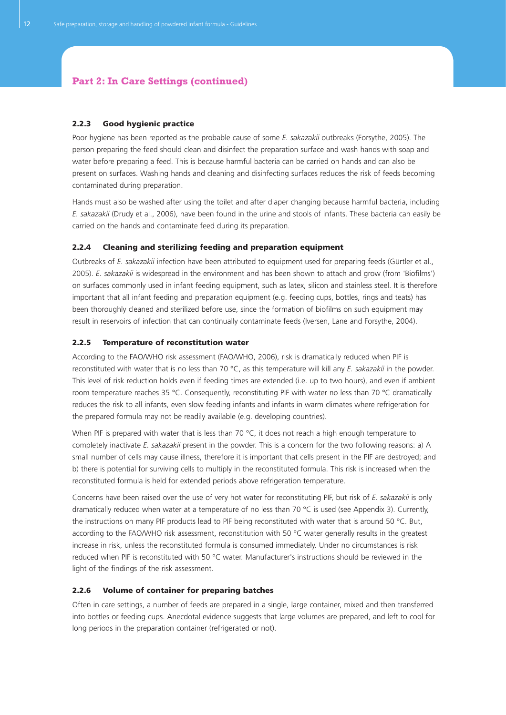#### 2.2.3 Good hygienic practice

Poor hygiene has been reported as the probable cause of some *E. sakazakii* outbreaks (Forsythe, 2005). The person preparing the feed should clean and disinfect the preparation surface and wash hands with soap and water before preparing a feed. This is because harmful bacteria can be carried on hands and can also be present on surfaces. Washing hands and cleaning and disinfecting surfaces reduces the risk of feeds becoming contaminated during preparation.

Hands must also be washed after using the toilet and after diaper changing because harmful bacteria, including *E. sakazakii* (Drudy et al., 2006), have been found in the urine and stools of infants. These bacteria can easily be carried on the hands and contaminate feed during its preparation.

#### 2.2.4 Cleaning and sterilizing feeding and preparation equipment

Outbreaks of *E. sakazakii* infection have been attributed to equipment used for preparing feeds (Gürtler et al., 2005). *E. sakazakii* is widespread in the environment and has been shown to attach and grow (from 'Biofilms') on surfaces commonly used in infant feeding equipment, such as latex, silicon and stainless steel. It is therefore important that all infant feeding and preparation equipment (e.g. feeding cups, bottles, rings and teats) has been thoroughly cleaned and sterilized before use, since the formation of biofilms on such equipment may result in reservoirs of infection that can continually contaminate feeds (Iversen, Lane and Forsythe, 2004).

#### 2.2.5 Temperature of reconstitution water

According to the FAO/WHO risk assessment (FAO/WHO, 2006), risk is dramatically reduced when PIF is reconstituted with water that is no less than 70 °C, as this temperature will kill any *E. sakazakii* in the powder. This level of risk reduction holds even if feeding times are extended (i.e. up to two hours), and even if ambient room temperature reaches 35 °C. Consequently, reconstituting PIF with water no less than 70 °C dramatically reduces the risk to all infants, even slow feeding infants and infants in warm climates where refrigeration for the prepared formula may not be readily available (e.g. developing countries).

When PIF is prepared with water that is less than 70  $\degree$ C, it does not reach a high enough temperature to completely inactivate *E. sakazakii* present in the powder. This is a concern for the two following reasons: a) A small number of cells may cause illness, therefore it is important that cells present in the PIF are destroyed; and b) there is potential for surviving cells to multiply in the reconstituted formula. This risk is increased when the reconstituted formula is held for extended periods above refrigeration temperature.

Concerns have been raised over the use of very hot water for reconstituting PIF, but risk of *E. sakazakii* is only dramatically reduced when water at a temperature of no less than 70  $\degree$ C is used (see Appendix 3). Currently, the instructions on many PIF products lead to PIF being reconstituted with water that is around 50 °C. But, according to the FAO/WHO risk assessment, reconstitution with 50  $^{\circ}$ C water generally results in the greatest increase in risk, unless the reconstituted formula is consumed immediately. Under no circumstances is risk reduced when PIF is reconstituted with 50 °C water. Manufacturer's instructions should be reviewed in the light of the findings of the risk assessment.

#### 2.2.6 Volume of container for preparing batches

Often in care settings, a number of feeds are prepared in a single, large container, mixed and then transferred into bottles or feeding cups. Anecdotal evidence suggests that large volumes are prepared, and left to cool for long periods in the preparation container (refrigerated or not).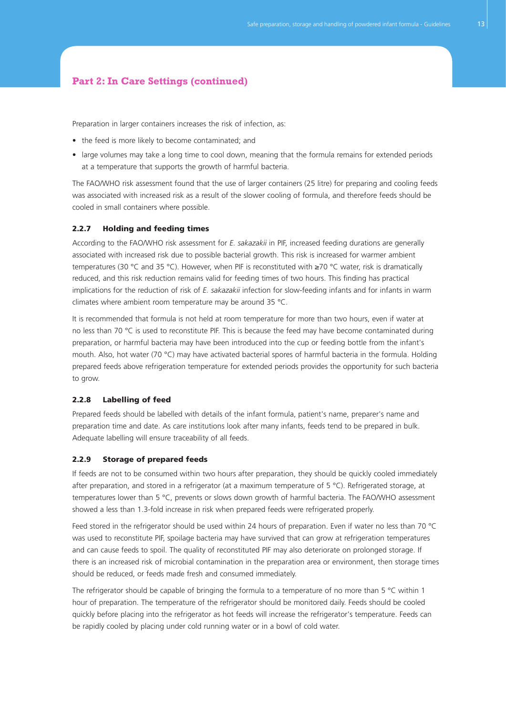Preparation in larger containers increases the risk of infection, as:

- the feed is more likely to become contaminated; and
- large volumes may take a long time to cool down, meaning that the formula remains for extended periods at a temperature that supports the growth of harmful bacteria.

The FAO/WHO risk assessment found that the use of larger containers (25 litre) for preparing and cooling feeds was associated with increased risk as a result of the slower cooling of formula, and therefore feeds should be cooled in small containers where possible.

#### 2.2.7 Holding and feeding times

According to the FAO/WHO risk assessment for *E. sakazakii* in PIF, increased feeding durations are generally associated with increased risk due to possible bacterial growth. This risk is increased for warmer ambient temperatures (30 °C and 35 °C). However, when PIF is reconstituted with ≥70 °C water, risk is dramatically reduced, and this risk reduction remains valid for feeding times of two hours. This finding has practical implications for the reduction of risk of *E. sakazakii* infection for slow-feeding infants and for infants in warm climates where ambient room temperature may be around 35 °C.

It is recommended that formula is not held at room temperature for more than two hours, even if water at no less than 70 °C is used to reconstitute PIF. This is because the feed may have become contaminated during preparation, or harmful bacteria may have been introduced into the cup or feeding bottle from the infant's mouth. Also, hot water (70 °C) may have activated bacterial spores of harmful bacteria in the formula. Holding prepared feeds above refrigeration temperature for extended periods provides the opportunity for such bacteria to grow.

#### 2.2.8 Labelling of feed

Prepared feeds should be labelled with details of the infant formula, patient's name, preparer's name and preparation time and date. As care institutions look after many infants, feeds tend to be prepared in bulk. Adequate labelling will ensure traceability of all feeds.

#### 2.2.9 Storage of prepared feeds

If feeds are not to be consumed within two hours after preparation, they should be quickly cooled immediately after preparation, and stored in a refrigerator (at a maximum temperature of  $5 \degree C$ ). Refrigerated storage, at temperatures lower than 5 °C, prevents or slows down growth of harmful bacteria. The FAO/WHO assessment showed a less than 1.3-fold increase in risk when prepared feeds were refrigerated properly.

Feed stored in the refrigerator should be used within 24 hours of preparation. Even if water no less than 70 °C was used to reconstitute PIF, spoilage bacteria may have survived that can grow at refrigeration temperatures and can cause feeds to spoil. The quality of reconstituted PIF may also deteriorate on prolonged storage. If there is an increased risk of microbial contamination in the preparation area or environment, then storage times should be reduced, or feeds made fresh and consumed immediately.

The refrigerator should be capable of bringing the formula to a temperature of no more than 5 °C within 1 hour of preparation. The temperature of the refrigerator should be monitored daily. Feeds should be cooled quickly before placing into the refrigerator as hot feeds will increase the refrigerator's temperature. Feeds can be rapidly cooled by placing under cold running water or in a bowl of cold water.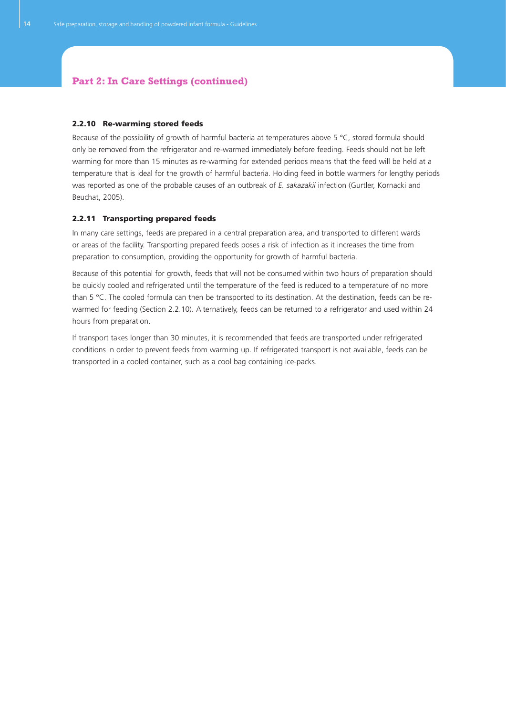#### 2.2.10 Re-warming stored feeds

Because of the possibility of growth of harmful bacteria at temperatures above 5 °C, stored formula should only be removed from the refrigerator and re-warmed immediately before feeding. Feeds should not be left warming for more than 15 minutes as re-warming for extended periods means that the feed will be held at a temperature that is ideal for the growth of harmful bacteria. Holding feed in bottle warmers for lengthy periods was reported as one of the probable causes of an outbreak of *E. sakazakii* infection (Gurtler, Kornacki and Beuchat, 2005).

#### 2.2.11 Transporting prepared feeds

In many care settings, feeds are prepared in a central preparation area, and transported to different wards or areas of the facility. Transporting prepared feeds poses a risk of infection as it increases the time from preparation to consumption, providing the opportunity for growth of harmful bacteria.

Because of this potential for growth, feeds that will not be consumed within two hours of preparation should be quickly cooled and refrigerated until the temperature of the feed is reduced to a temperature of no more than 5 °C. The cooled formula can then be transported to its destination. At the destination, feeds can be rewarmed for feeding (Section 2.2.10). Alternatively, feeds can be returned to a refrigerator and used within 24 hours from preparation.

If transport takes longer than 30 minutes, it is recommended that feeds are transported under refrigerated conditions in order to prevent feeds from warming up. If refrigerated transport is not available, feeds can be transported in a cooled container, such as a cool bag containing ice-packs.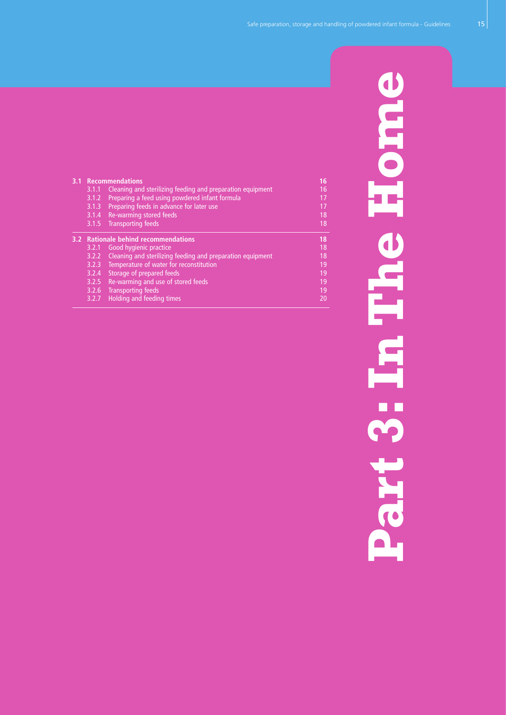|       | <b>3.1 Recommendations</b>                                 | 16 |
|-------|------------------------------------------------------------|----|
| 3.1.1 | Cleaning and sterilizing feeding and preparation equipment | 16 |
| 3.1.2 | Preparing a feed using powdered infant formula             | 17 |
| 3.1.3 | Preparing feeds in advance for later use                   | 17 |
| 3.1.4 | Re-warming stored feeds                                    | 18 |
| 3.1.5 | <b>Transporting feeds</b>                                  | 18 |
|       |                                                            |    |
|       | 3.2 Rationale behind recommendations                       | 18 |
| 3.2.1 | Good hygienic practice                                     | 18 |
| 3.2.2 | Cleaning and sterilizing feeding and preparation equipment | 18 |
| 3.2.3 | Temperature of water for reconstitution                    | 19 |
| 3.2.4 | Storage of prepared feeds                                  | 19 |
| 3.2.5 | Re-warming and use of stored feeds                         | 19 |
| 3.2.6 | <b>Transporting feeds</b>                                  | 19 |

# **Part 3: In The Home The Home** Part 3: In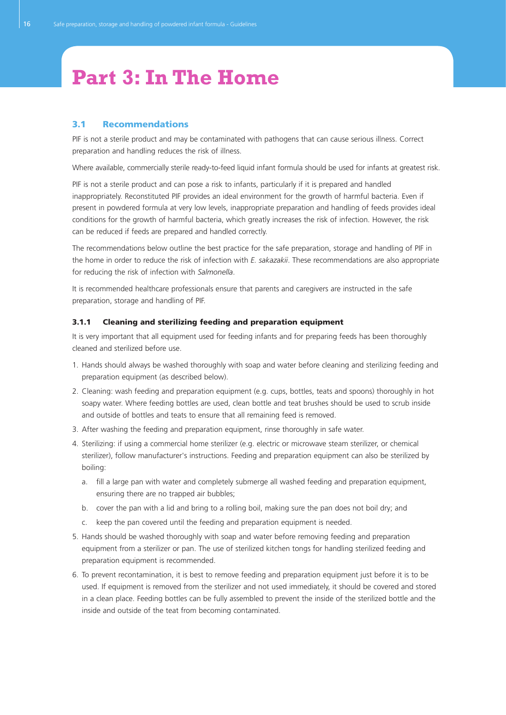# **Part 3: In The Home**

#### 3.1 Recommendations

PIF is not a sterile product and may be contaminated with pathogens that can cause serious illness. Correct preparation and handling reduces the risk of illness.

Where available, commercially sterile ready-to-feed liquid infant formula should be used for infants at greatest risk.

PIF is not a sterile product and can pose a risk to infants, particularly if it is prepared and handled inappropriately. Reconstituted PIF provides an ideal environment for the growth of harmful bacteria. Even if present in powdered formula at very low levels, inappropriate preparation and handling of feeds provides ideal conditions for the growth of harmful bacteria, which greatly increases the risk of infection. However, the risk can be reduced if feeds are prepared and handled correctly.

The recommendations below outline the best practice for the safe preparation, storage and handling of PIF in the home in order to reduce the risk of infection with *E. sakazakii*. These recommendations are also appropriate for reducing the risk of infection with *Salmonella*.

It is recommended healthcare professionals ensure that parents and caregivers are instructed in the safe preparation, storage and handling of PIF.

#### 3.1.1 Cleaning and sterilizing feeding and preparation equipment

It is very important that all equipment used for feeding infants and for preparing feeds has been thoroughly cleaned and sterilized before use.

- 1. Hands should always be washed thoroughly with soap and water before cleaning and sterilizing feeding and preparation equipment (as described below).
- 2. Cleaning: wash feeding and preparation equipment (e.g. cups, bottles, teats and spoons) thoroughly in hot soapy water. Where feeding bottles are used, clean bottle and teat brushes should be used to scrub inside and outside of bottles and teats to ensure that all remaining feed is removed.
- 3. After washing the feeding and preparation equipment, rinse thoroughly in safe water.
- 4. Sterilizing: if using a commercial home sterilizer (e.g. electric or microwave steam sterilizer, or chemical sterilizer), follow manufacturer's instructions. Feeding and preparation equipment can also be sterilized by boiling:
	- a. fill a large pan with water and completely submerge all washed feeding and preparation equipment, ensuring there are no trapped air bubbles;
	- b. cover the pan with a lid and bring to a rolling boil, making sure the pan does not boil dry; and
	- c. keep the pan covered until the feeding and preparation equipment is needed.
- 5. Hands should be washed thoroughly with soap and water before removing feeding and preparation equipment from a sterilizer or pan. The use of sterilized kitchen tongs for handling sterilized feeding and preparation equipment is recommended.
- 6. To prevent recontamination, it is best to remove feeding and preparation equipment just before it is to be used. If equipment is removed from the sterilizer and not used immediately, it should be covered and stored in a clean place. Feeding bottles can be fully assembled to prevent the inside of the sterilized bottle and the inside and outside of the teat from becoming contaminated.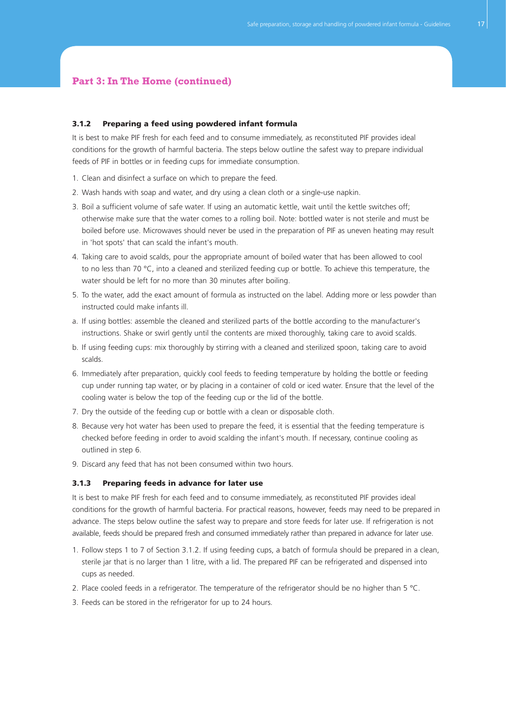#### 3.1.2 Preparing a feed using powdered infant formula

It is best to make PIF fresh for each feed and to consume immediately, as reconstituted PIF provides ideal conditions for the growth of harmful bacteria. The steps below outline the safest way to prepare individual feeds of PIF in bottles or in feeding cups for immediate consumption.

- 1. Clean and disinfect a surface on which to prepare the feed.
- 2. Wash hands with soap and water, and dry using a clean cloth or a single-use napkin.
- 3. Boil a sufficient volume of safe water. If using an automatic kettle, wait until the kettle switches off; otherwise make sure that the water comes to a rolling boil. Note: bottled water is not sterile and must be boiled before use. Microwaves should never be used in the preparation of PIF as uneven heating may result in 'hot spots' that can scald the infant's mouth.
- 4. Taking care to avoid scalds, pour the appropriate amount of boiled water that has been allowed to cool to no less than 70  $\degree$ C, into a cleaned and sterilized feeding cup or bottle. To achieve this temperature, the water should be left for no more than 30 minutes after boiling.
- 5. To the water, add the exact amount of formula as instructed on the label. Adding more or less powder than instructed could make infants ill.
- a. If using bottles: assemble the cleaned and sterilized parts of the bottle according to the manufacturer's instructions. Shake or swirl gently until the contents are mixed thoroughly, taking care to avoid scalds.
- b. If using feeding cups: mix thoroughly by stirring with a cleaned and sterilized spoon, taking care to avoid scalds.
- 6. Immediately after preparation, quickly cool feeds to feeding temperature by holding the bottle or feeding cup under running tap water, or by placing in a container of cold or iced water. Ensure that the level of the cooling water is below the top of the feeding cup or the lid of the bottle.
- 7. Dry the outside of the feeding cup or bottle with a clean or disposable cloth.
- 8. Because very hot water has been used to prepare the feed, it is essential that the feeding temperature is checked before feeding in order to avoid scalding the infant's mouth. If necessary, continue cooling as outlined in step 6.
- 9. Discard any feed that has not been consumed within two hours.

#### 3.1.3 Preparing feeds in advance for later use

It is best to make PIF fresh for each feed and to consume immediately, as reconstituted PIF provides ideal conditions for the growth of harmful bacteria. For practical reasons, however, feeds may need to be prepared in advance. The steps below outline the safest way to prepare and store feeds for later use. If refrigeration is not available, feeds should be prepared fresh and consumed immediately rather than prepared in advance for later use.

- 1. Follow steps 1 to 7 of Section 3.1.2. If using feeding cups, a batch of formula should be prepared in a clean, sterile jar that is no larger than 1 litre, with a lid. The prepared PIF can be refrigerated and dispensed into cups as needed.
- 2. Place cooled feeds in a refrigerator. The temperature of the refrigerator should be no higher than 5 °C.
- 3. Feeds can be stored in the refrigerator for up to 24 hours.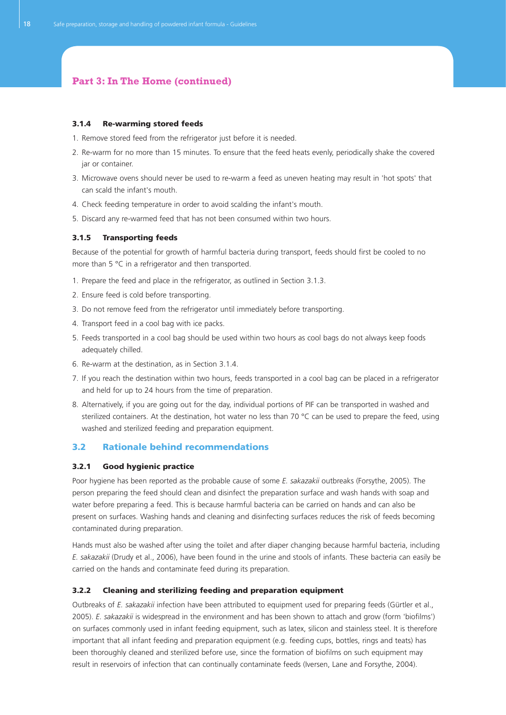#### 3.1.4 Re-warming stored feeds

- 1. Remove stored feed from the refrigerator just before it is needed.
- 2. Re-warm for no more than 15 minutes. To ensure that the feed heats evenly, periodically shake the covered jar or container.
- 3. Microwave ovens should never be used to re-warm a feed as uneven heating may result in 'hot spots' that can scald the infant's mouth.
- 4. Check feeding temperature in order to avoid scalding the infant's mouth.
- 5. Discard any re-warmed feed that has not been consumed within two hours.

#### 3.1.5 Transporting feeds

Because of the potential for growth of harmful bacteria during transport, feeds should first be cooled to no more than 5 °C in a refrigerator and then transported.

- 1. Prepare the feed and place in the refrigerator, as outlined in Section 3.1.3.
- 2. Ensure feed is cold before transporting.
- 3. Do not remove feed from the refrigerator until immediately before transporting.
- 4. Transport feed in a cool bag with ice packs.
- 5. Feeds transported in a cool bag should be used within two hours as cool bags do not always keep foods adequately chilled.
- 6. Re-warm at the destination, as in Section 3.1.4.
- 7. If you reach the destination within two hours, feeds transported in a cool bag can be placed in a refrigerator and held for up to 24 hours from the time of preparation.
- 8. Alternatively, if you are going out for the day, individual portions of PIF can be transported in washed and sterilized containers. At the destination, hot water no less than 70 °C can be used to prepare the feed, using washed and sterilized feeding and preparation equipment.

#### 3.2 Rationale behind recommendations

#### 3.2.1 Good hygienic practice

Poor hygiene has been reported as the probable cause of some *E. sakazakii* outbreaks (Forsythe, 2005). The person preparing the feed should clean and disinfect the preparation surface and wash hands with soap and water before preparing a feed. This is because harmful bacteria can be carried on hands and can also be present on surfaces. Washing hands and cleaning and disinfecting surfaces reduces the risk of feeds becoming contaminated during preparation.

Hands must also be washed after using the toilet and after diaper changing because harmful bacteria, including *E. sakazakii* (Drudy et al., 2006), have been found in the urine and stools of infants. These bacteria can easily be carried on the hands and contaminate feed during its preparation.

#### 3.2.2 Cleaning and sterilizing feeding and preparation equipment

Outbreaks of *E. sakazakii* infection have been attributed to equipment used for preparing feeds (Gürtler et al., 2005). *E. sakazakii* is widespread in the environment and has been shown to attach and grow (form 'biofilms') on surfaces commonly used in infant feeding equipment, such as latex, silicon and stainless steel. It is therefore important that all infant feeding and preparation equipment (e.g. feeding cups, bottles, rings and teats) has been thoroughly cleaned and sterilized before use, since the formation of biofilms on such equipment may result in reservoirs of infection that can continually contaminate feeds (Iversen, Lane and Forsythe, 2004).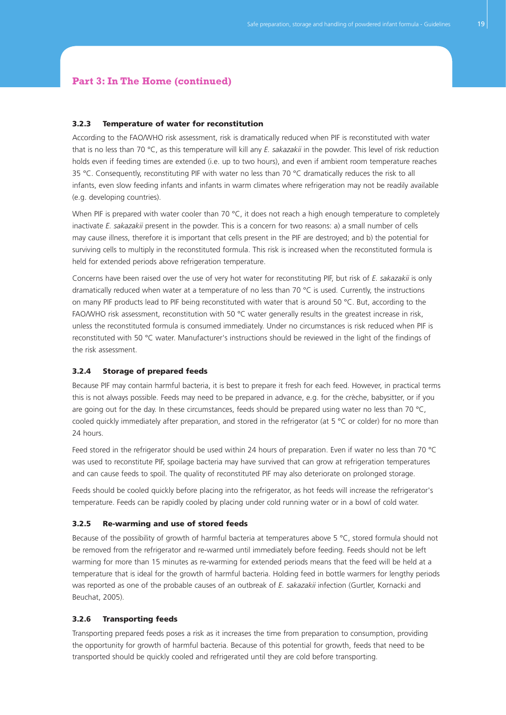#### 3.2.3 Temperature of water for reconstitution

According to the FAO/WHO risk assessment, risk is dramatically reduced when PIF is reconstituted with water that is no less than 70 °C, as this temperature will kill any *E. sakazakii* in the powder. This level of risk reduction holds even if feeding times are extended (i.e. up to two hours), and even if ambient room temperature reaches 35 °C. Consequently, reconstituting PIF with water no less than 70 °C dramatically reduces the risk to all infants, even slow feeding infants and infants in warm climates where refrigeration may not be readily available (e.g. developing countries).

When PIF is prepared with water cooler than 70  $\degree$ C, it does not reach a high enough temperature to completely inactivate *E. sakazakii* present in the powder. This is a concern for two reasons: a) a small number of cells may cause illness, therefore it is important that cells present in the PIF are destroyed; and b) the potential for surviving cells to multiply in the reconstituted formula. This risk is increased when the reconstituted formula is held for extended periods above refrigeration temperature.

Concerns have been raised over the use of very hot water for reconstituting PIF, but risk of *E. sakazakii* is only dramatically reduced when water at a temperature of no less than 70 °C is used. Currently, the instructions on many PIF products lead to PIF being reconstituted with water that is around 50 °C. But, according to the FAO/WHO risk assessment, reconstitution with 50 °C water generally results in the greatest increase in risk, unless the reconstituted formula is consumed immediately. Under no circumstances is risk reduced when PIF is reconstituted with 50 °C water. Manufacturer's instructions should be reviewed in the light of the findings of the risk assessment.

#### 3.2.4 Storage of prepared feeds

Because PIF may contain harmful bacteria, it is best to prepare it fresh for each feed. However, in practical terms this is not always possible. Feeds may need to be prepared in advance, e.g. for the crèche, babysitter, or if you are going out for the day. In these circumstances, feeds should be prepared using water no less than 70 °C, cooled quickly immediately after preparation, and stored in the refrigerator (at 5 °C or colder) for no more than 24 hours.

Feed stored in the refrigerator should be used within 24 hours of preparation. Even if water no less than 70 °C was used to reconstitute PIF, spoilage bacteria may have survived that can grow at refrigeration temperatures and can cause feeds to spoil. The quality of reconstituted PIF may also deteriorate on prolonged storage.

Feeds should be cooled quickly before placing into the refrigerator, as hot feeds will increase the refrigerator's temperature. Feeds can be rapidly cooled by placing under cold running water or in a bowl of cold water.

#### 3.2.5 Re-warming and use of stored feeds

Because of the possibility of growth of harmful bacteria at temperatures above 5 °C, stored formula should not be removed from the refrigerator and re-warmed until immediately before feeding. Feeds should not be left warming for more than 15 minutes as re-warming for extended periods means that the feed will be held at a temperature that is ideal for the growth of harmful bacteria. Holding feed in bottle warmers for lengthy periods was reported as one of the probable causes of an outbreak of *E. sakazakii* infection (Gurtler, Kornacki and Beuchat, 2005).

#### 3.2.6 Transporting feeds

Transporting prepared feeds poses a risk as it increases the time from preparation to consumption, providing the opportunity for growth of harmful bacteria. Because of this potential for growth, feeds that need to be transported should be quickly cooled and refrigerated until they are cold before transporting.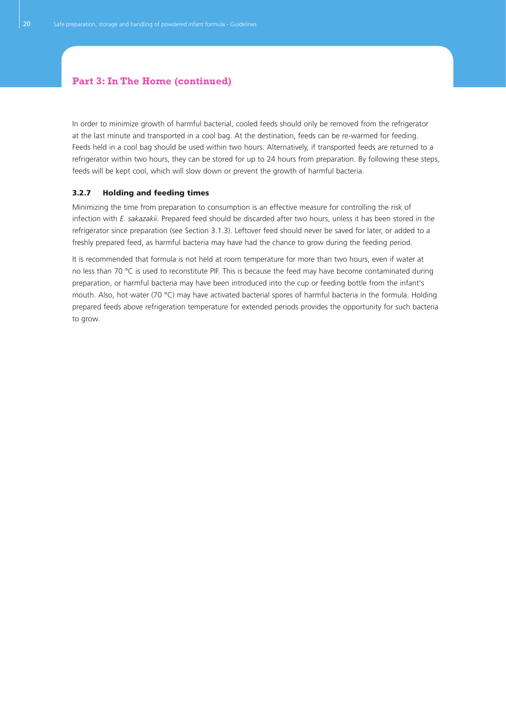In order to minimize growth of harmful bacterial, cooled feeds should only be removed from the refrigerator at the last minute and transported in a cool bag. At the destination, feeds can be re-warmed for feeding. Feeds held in a cool bag should be used within two hours. Alternatively, if transported feeds are returned to a refrigerator within two hours, they can be stored for up to 24 hours from preparation. By following these steps, feeds will be kept cool, which will slow down or prevent the growth of harmful bacteria.

#### 3.2.7 Holding and feeding times

Minimizing the time from preparation to consumption is an effective measure for controlling the risk of infection with *E. sakazakii*. Prepared feed should be discarded after two hours, unless it has been stored in the refrigerator since preparation (see Section 3.1.3). Leftover feed should never be saved for later, or added to a freshly prepared feed, as harmful bacteria may have had the chance to grow during the feeding period.

It is recommended that formula is not held at room temperature for more than two hours, even if water at no less than 70 °C is used to reconstitute PIF. This is because the feed may have become contaminated during preparation, or harmful bacteria may have been introduced into the cup or feeding bottle from the infant's mouth. Also, hot water (70 °C) may have activated bacterial spores of harmful bacteria in the formula. Holding prepared feeds above refrigeration temperature for extended periods provides the opportunity for such bacteria to grow.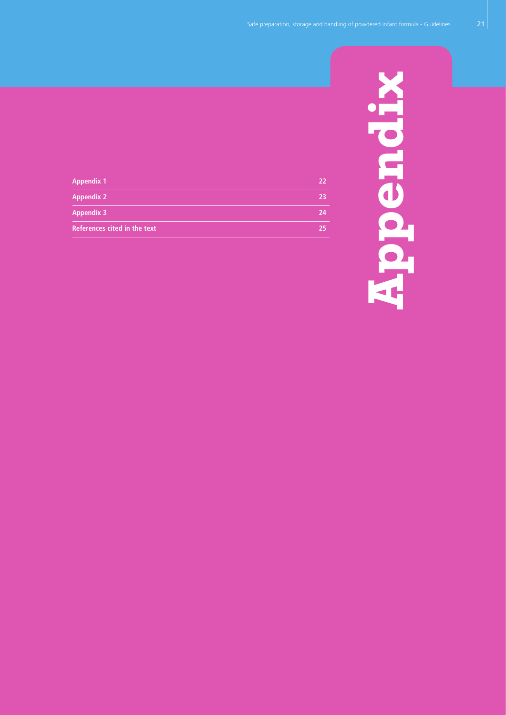# **Appendix Appendix**

| <b>Appendix 1</b>            | 22 |
|------------------------------|----|
| <b>Appendix 2</b>            | 23 |
| <b>Appendix 3</b>            | 24 |
| References cited in the text | 25 |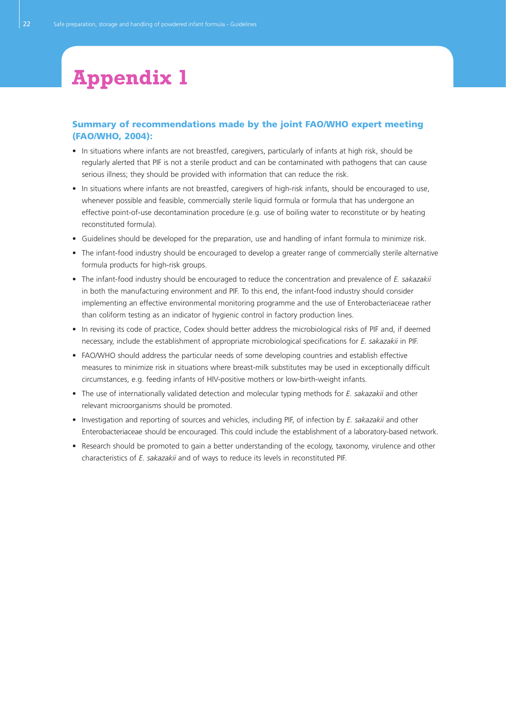# **Appendix 1**

#### Summary of recommendations made by the joint FAO/WHO expert meeting (FAO/WHO, 2004):

- In situations where infants are not breastfed, caregivers, particularly of infants at high risk, should be regularly alerted that PIF is not a sterile product and can be contaminated with pathogens that can cause serious illness; they should be provided with information that can reduce the risk.
- In situations where infants are not breastfed, caregivers of high-risk infants, should be encouraged to use, whenever possible and feasible, commercially sterile liquid formula or formula that has undergone an effective point-of-use decontamination procedure (e.g. use of boiling water to reconstitute or by heating reconstituted formula).
- Guidelines should be developed for the preparation, use and handling of infant formula to minimize risk.
- The infant-food industry should be encouraged to develop a greater range of commercially sterile alternative formula products for high-risk groups.
- The infant-food industry should be encouraged to reduce the concentration and prevalence of *E. sakazakii* in both the manufacturing environment and PIF. To this end, the infant-food industry should consider implementing an effective environmental monitoring programme and the use of Enterobacteriaceae rather than coliform testing as an indicator of hygienic control in factory production lines.
- In revising its code of practice, Codex should better address the microbiological risks of PIF and, if deemed necessary, include the establishment of appropriate microbiological specifications for *E. sakazakii* in PIF.
- FAO/WHO should address the particular needs of some developing countries and establish effective measures to minimize risk in situations where breast-milk substitutes may be used in exceptionally difficult circumstances, e.g. feeding infants of HIV-positive mothers or low-birth-weight infants.
- The use of internationally validated detection and molecular typing methods for *E. sakazakii* and other relevant microorganisms should be promoted.
- Investigation and reporting of sources and vehicles, including PIF, of infection by *E. sakazakii* and other Enterobacteriaceae should be encouraged. This could include the establishment of a laboratory-based network.
- Research should be promoted to gain a better understanding of the ecology, taxonomy, virulence and other characteristics of *E. sakazakii* and of ways to reduce its levels in reconstituted PIF.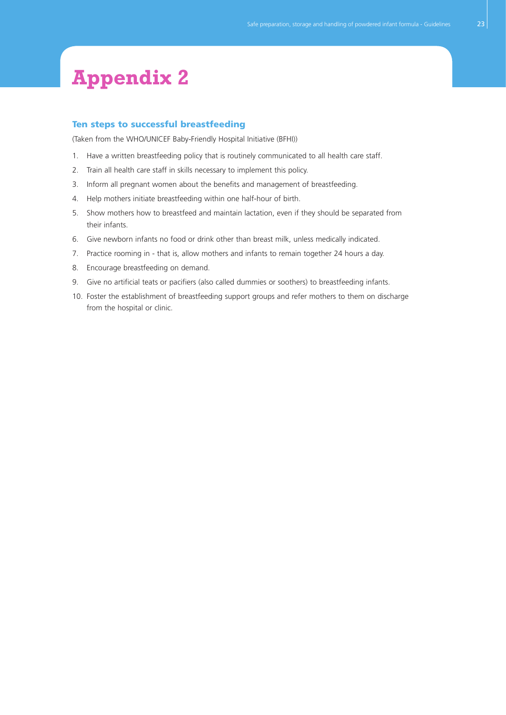# **Appendix 2**

#### Ten steps to successful breastfeeding

(Taken from the WHO/UNICEF Baby-Friendly Hospital Initiative (BFHI))

- 1. Have a written breastfeeding policy that is routinely communicated to all health care staff.
- 2. Train all health care staff in skills necessary to implement this policy.
- 3. Inform all pregnant women about the benefits and management of breastfeeding.
- 4. Help mothers initiate breastfeeding within one half-hour of birth.
- 5. Show mothers how to breastfeed and maintain lactation, even if they should be separated from their infants.
- 6. Give newborn infants no food or drink other than breast milk, unless medically indicated.
- 7. Practice rooming in that is, allow mothers and infants to remain together 24 hours a day.
- 8. Encourage breastfeeding on demand.
- 9. Give no artificial teats or pacifiers (also called dummies or soothers) to breastfeeding infants.
- 10. Foster the establishment of breastfeeding support groups and refer mothers to them on discharge from the hospital or clinic.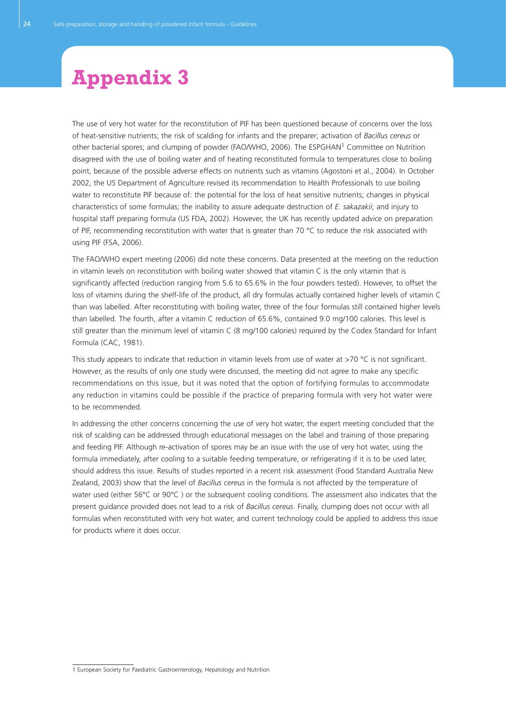# **Appendix 3**

The use of very hot water for the reconstitution of PIF has been questioned because of concerns over the loss of heat-sensitive nutrients; the risk of scalding for infants and the preparer; activation of *Bacillus cereus* or other bacterial spores; and clumping of powder (FAO/WHO, 2006). The ESPGHAN<sup>1</sup> Committee on Nutrition disagreed with the use of boiling water and of heating reconstituted formula to temperatures close to boiling point, because of the possible adverse effects on nutrients such as vitamins (Agostoni et al., 2004). In October 2002, the US Department of Agriculture revised its recommendation to Health Professionals to use boiling water to reconstitute PIF because of: the potential for the loss of heat sensitive nutrients; changes in physical characteristics of some formulas; the inability to assure adequate destruction of *E. sakazakii*; and injury to hospital staff preparing formula (US FDA, 2002). However, the UK has recently updated advice on preparation of PIF, recommending reconstitution with water that is greater than 70 °C to reduce the risk associated with using PIF (FSA, 2006).

The FAO/WHO expert meeting (2006) did note these concerns. Data presented at the meeting on the reduction in vitamin levels on reconstitution with boiling water showed that vitamin C is the only vitamin that is significantly affected (reduction ranging from 5.6 to 65.6% in the four powders tested). However, to offset the loss of vitamins during the shelf-life of the product, all dry formulas actually contained higher levels of vitamin C than was labelled. After reconstituting with boiling water, three of the four formulas still contained higher levels than labelled. The fourth, after a vitamin C reduction of 65.6%, contained 9.0 mg/100 calories. This level is still greater than the minimum level of vitamin C (8 mg/100 calories) required by the Codex Standard for Infant Formula (CAC, 1981).

This study appears to indicate that reduction in vitamin levels from use of water at  $>70$  °C is not significant. However, as the results of only one study were discussed, the meeting did not agree to make any specific recommendations on this issue, but it was noted that the option of fortifying formulas to accommodate any reduction in vitamins could be possible if the practice of preparing formula with very hot water were to be recommended.

In addressing the other concerns concerning the use of very hot water, the expert meeting concluded that the risk of scalding can be addressed through educational messages on the label and training of those preparing and feeding PIF. Although re-activation of spores may be an issue with the use of very hot water, using the formula immediately, after cooling to a suitable feeding temperature, or refrigerating if it is to be used later, should address this issue. Results of studies reported in a recent risk assessment (Food Standard Australia New Zealand, 2003) show that the level of *Bacillus cereus* in the formula is not affected by the temperature of water used (either 56°C or 90°C ) or the subsequent cooling conditions. The assessment also indicates that the present guidance provided does not lead to a risk of *Bacillus cereus*. Finally, clumping does not occur with all formulas when reconstituted with very hot water, and current technology could be applied to address this issue for products where it does occur.

<sup>1</sup> European Society for Paediatric Gastroenterology, Hepatology and Nutrition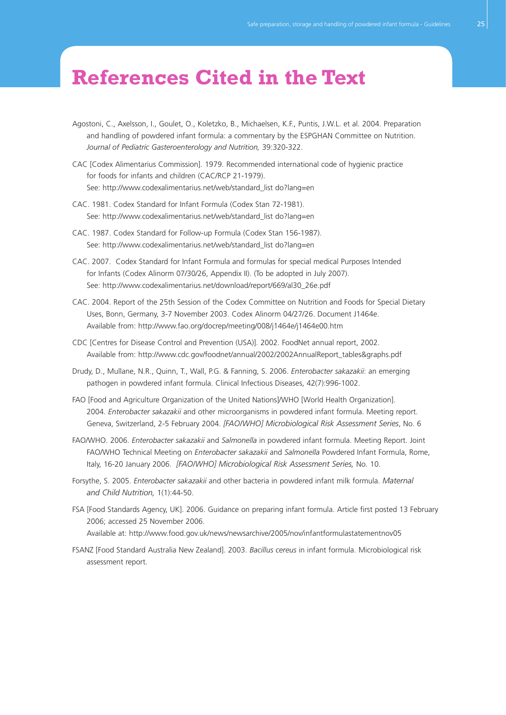### **References Cited in the Text**

- Agostoni, C., Axelsson, I., Goulet, O., Koletzko, B., Michaelsen, K.F., Puntis, J.W.L. et al. 2004. Preparation and handling of powdered infant formula: a commentary by the ESPGHAN Committee on Nutrition. *Journal of Pediatric Gasteroenterology and Nutrition,* 39:320-322.
- CAC [Codex Alimentarius Commission]. 1979. Recommended international code of hygienic practice for foods for infants and children (CAC/RCP 21-1979). See: http://www.codexalimentarius.net/web/standard\_list do?lang=en
- CAC. 1981. Codex Standard for Infant Formula (Codex Stan 72-1981). See: http://www.codexalimentarius.net/web/standard\_list do?lang=en
- CAC. 1987. Codex Standard for Follow-up Formula (Codex Stan 156-1987). See: http://www.codexalimentarius.net/web/standard\_list do?lang=en
- CAC. 2007. Codex Standard for Infant Formula and formulas for special medical Purposes Intended for Infants (Codex Alinorm 07/30/26, Appendix II). (To be adopted in July 2007). See: http://www.codexalimentarius.net/download/report/669/al30\_26e.pdf
- CAC. 2004. Report of the 25th Session of the Codex Committee on Nutrition and Foods for Special Dietary Uses, Bonn, Germany, 3-7 November 2003. Codex Alinorm 04/27/26. Document J1464e. Available from: http://www.fao.org/docrep/meeting/008/j1464e/j1464e00.htm
- CDC [Centres for Disease Control and Prevention (USA)]. 2002. FoodNet annual report, 2002. Available from: http://www.cdc.gov/foodnet/annual/2002/2002AnnualReport\_tables&graphs.pdf
- Drudy, D., Mullane, N.R., Quinn, T., Wall, P.G. & Fanning, S. 2006. *Enterobacter sakazakii*: an emerging pathogen in powdered infant formula. Clinical Infectious Diseases, 42(7):996-1002.
- FAO [Food and Agriculture Organization of the United Nations]/WHO [World Health Organization]. 2004. *Enterobacter sakazakii* and other microorganisms in powdered infant formula. Meeting report. Geneva, Switzerland, 2-5 February 2004. *[FAO/WHO] Microbiological Risk Assessment Series*, No. 6
- FAO/WHO. 2006. *Enterobacter sakazakii* and *Salmonella* in powdered infant formula. Meeting Report. Joint FAO/WHO Technical Meeting on *Enterobacter sakazakii* and *Salmonella* Powdered Infant Formula, Rome, Italy, 16-20 January 2006. *[FAO/WHO] Microbiological Risk Assessment Series,* No. 10.
- Forsythe, S. 2005. *Enterobacter sakazakii* and other bacteria in powdered infant milk formula. *Maternal and Child Nutrition,* 1(1):44-50.
- FSA [Food Standards Agency, UK]. 2006. Guidance on preparing infant formula. Article first posted 13 February 2006; accessed 25 November 2006. Available at: http://www.food.gov.uk/news/newsarchive/2005/nov/infantformulastatementnov05
- FSANZ [Food Standard Australia New Zealand]. 2003. *Bacillus cereus* in infant formula. Microbiological risk assessment report.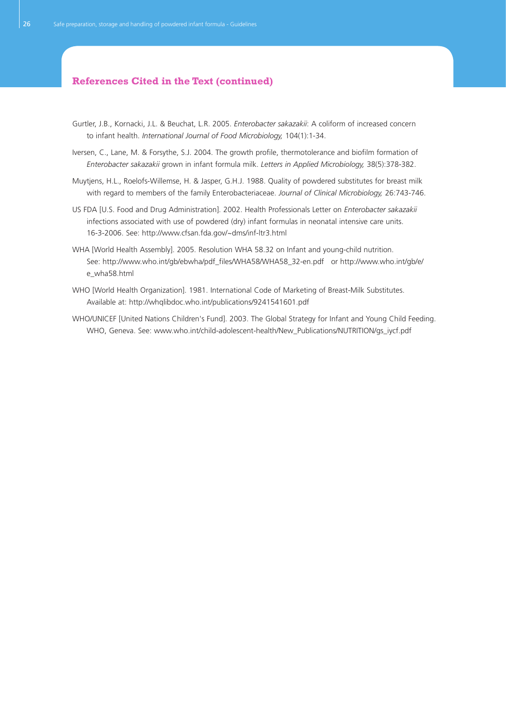#### **References Cited in the Text (continued)**

- Gurtler, J.B., Kornacki, J.L. & Beuchat, L.R. 2005. *Enterobacter sakazakii*: A coliform of increased concern to infant health. *International Journal of Food Microbiology,* 104(1):1-34.
- Iversen, C., Lane, M. & Forsythe, S.J. 2004. The growth profile, thermotolerance and biofilm formation of *Enterobacter sakazakii* grown in infant formula milk. *Letters in Applied Microbiology,* 38(5):378-382.
- Muytjens, H.L., Roelofs-Willemse, H. & Jasper, G.H.J. 1988. Quality of powdered substitutes for breast milk with regard to members of the family Enterobacteriaceae. *Journal of Clinical Microbiology,* 26:743-746.
- US FDA [U.S. Food and Drug Administration]. 2002. Health Professionals Letter on *Enterobacter sakazakii* infections associated with use of powdered (dry) infant formulas in neonatal intensive care units. 16-3-2006. See: http://www.cfsan.fda.gov/~dms/inf-ltr3.html
- WHA [World Health Assembly]. 2005. Resolution WHA 58.32 on Infant and young-child nutrition. See: http://www.who.int/gb/ebwha/pdf\_files/WHA58/WHA58\_32-en.pdf or http://www.who.int/gb/e/ e\_wha58.html
- WHO [World Health Organization]. 1981. International Code of Marketing of Breast-Milk Substitutes. Available at: http://whqlibdoc.who.int/publications/9241541601.pdf
- WHO/UNICEF [United Nations Children's Fund]. 2003. The Global Strategy for Infant and Young Child Feeding. WHO, Geneva. See: www.who.int/child-adolescent-health/New\_Publications/NUTRITION/qs\_iycf.pdf